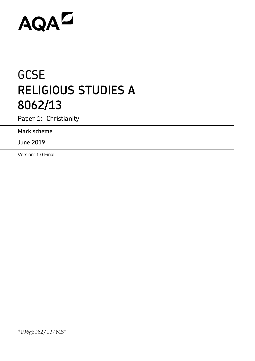# AQAZ

## **GCSE RELIGIOUS STUDIES A 8062/13**

Paper 1: Christianity

**Mark scheme**

June 2019

Version: 1.0 Final

\*196g8062/13/MS\*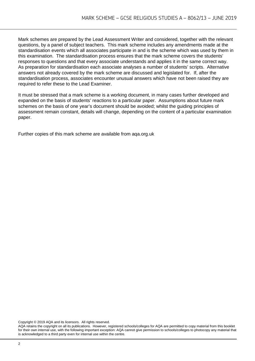Mark schemes are prepared by the Lead Assessment Writer and considered, together with the relevant questions, by a panel of subject teachers. This mark scheme includes any amendments made at the standardisation events which all associates participate in and is the scheme which was used by them in this examination. The standardisation process ensures that the mark scheme covers the students' responses to questions and that every associate understands and applies it in the same correct way. As preparation for standardisation each associate analyses a number of students' scripts. Alternative answers not already covered by the mark scheme are discussed and legislated for. If, after the standardisation process, associates encounter unusual answers which have not been raised they are required to refer these to the Lead Examiner.

It must be stressed that a mark scheme is a working document, in many cases further developed and expanded on the basis of students' reactions to a particular paper. Assumptions about future mark schemes on the basis of one year's document should be avoided; whilst the guiding principles of assessment remain constant, details will change, depending on the content of a particular examination paper.

Further copies of this mark scheme are available from aqa.org.uk

Copyright © 2019 AQA and its licensors. All rights reserved.

AQA retains the copyright on all its publications. However, registered schools/colleges for AQA are permitted to copy material from this booklet for their own internal use, with the following important exception: AQA cannot give permission to schools/colleges to photocopy any material that is acknowledged to a third party even for internal use within the centre.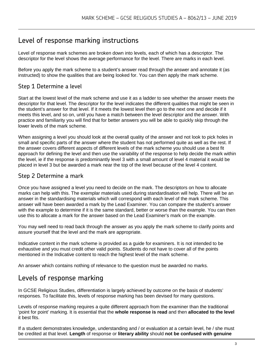#### Level of response marking instructions

Level of response mark schemes are broken down into levels, each of which has a descriptor. The descriptor for the level shows the average performance for the level. There are marks in each level.

Before you apply the mark scheme to a student's answer read through the answer and annotate it (as instructed) to show the qualities that are being looked for. You can then apply the mark scheme.

#### Step 1 Determine a level

Start at the lowest level of the mark scheme and use it as a ladder to see whether the answer meets the descriptor for that level. The descriptor for the level indicates the different qualities that might be seen in the student's answer for that level. If it meets the lowest level then go to the next one and decide if it meets this level, and so on, until you have a match between the level descriptor and the answer. With practice and familiarity you will find that for better answers you will be able to quickly skip through the lower levels of the mark scheme.

When assigning a level you should look at the overall quality of the answer and not look to pick holes in small and specific parts of the answer where the student has not performed quite as well as the rest. If the answer covers different aspects of different levels of the mark scheme you should use a best fit approach for defining the level and then use the variability of the response to help decide the mark within the level, ie if the response is predominantly level 3 with a small amount of level 4 material it would be placed in level 3 but be awarded a mark near the top of the level because of the level 4 content.

#### Step 2 Determine a mark

Once you have assigned a level you need to decide on the mark. The descriptors on how to allocate marks can help with this. The exemplar materials used during standardisation will help. There will be an answer in the standardising materials which will correspond with each level of the mark scheme. This answer will have been awarded a mark by the Lead Examiner. You can compare the student's answer with the example to determine if it is the same standard, better or worse than the example. You can then use this to allocate a mark for the answer based on the Lead Examiner's mark on the example.

You may well need to read back through the answer as you apply the mark scheme to clarify points and assure yourself that the level and the mark are appropriate.

Indicative content in the mark scheme is provided as a guide for examiners. It is not intended to be exhaustive and you must credit other valid points. Students do not have to cover all of the points mentioned in the Indicative content to reach the highest level of the mark scheme.

An answer which contains nothing of relevance to the question must be awarded no marks.

#### Levels of response marking

In GCSE Religious Studies, differentiation is largely achieved by outcome on the basis of students' responses. To facilitate this, levels of response marking has been devised for many questions.

Levels of response marking requires a quite different approach from the examiner than the traditional 'point for point' marking. It is essential that the **whole response is read** and then **allocated to the level**  it best fits.

If a student demonstrates knowledge, understanding and / or evaluation at a certain level, he / she must be credited at that level. **Length** of response or **literary ability** should **not be confused with genuine**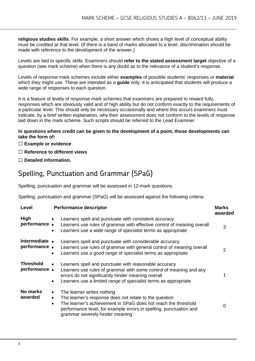**religious studies skills**. For example, a short answer which shows a high level of conceptual ability must be credited at that level. (If there is a band of marks allocated to a level, discrimination should be made with reference to the development of the answer.)

Levels are tied to specific skills. Examiners should **refer to the stated assessment target** objective of a question (see mark scheme) when there is any doubt as to the relevance of a student's response.

Levels of response mark schemes include either **examples** of possible students' responses or **material**  which they might use. These are intended as a **guide** only. It is anticipated that students will produce a wide range of responses to each question.

It is a feature of levels of response mark schemes that examiners are prepared to reward fully, responses which are obviously valid and of high ability but do not conform exactly to the requirements of a particular level. This should only be necessary occasionally and where this occurs examiners must indicate, by a brief written explanation, why their assessment does not conform to the levels of response laid down in the mark scheme. Such scripts should be referred to the Lead Examiner.

#### **In questions where credit can be given to the development of a point, those developments can take the form of:**

#### **Example or evidence**

- **Reference to different views**
- **Detailed information.**

### Spelling, Punctuation and Grammar (SPaG)

Spelling, punctuation and grammar will be assessed in 12-mark questions.

Spelling, punctuation and grammar (SPaG) will be assessed against the following criteria:

| Level                            | <b>Performance descriptor</b>                                                                                                                                                                                                                                                                          | <b>Marks</b><br>awarded |
|----------------------------------|--------------------------------------------------------------------------------------------------------------------------------------------------------------------------------------------------------------------------------------------------------------------------------------------------------|-------------------------|
| High<br>performance.             | Learners spell and punctuate with consistent accuracy<br>$\bullet$<br>Learners use rules of grammar with effective control of meaning overall<br>Learners use a wide range of specialist terms as appropriate<br>$\bullet$                                                                             | 3                       |
| Intermediate •<br>performance.   | Learners spell and punctuate with considerable accuracy<br>Learners use rules of grammar with general control of meaning overall<br>Learners use a good range of specialist terms as appropriate<br>$\bullet$                                                                                          | 2                       |
| <b>Threshold</b><br>performance. | Learners spell and punctuate with reasonable accuracy<br>$\bullet$<br>Learners use rules of grammar with some control of meaning and any<br>errors do not significantly hinder meaning overall<br>Learners use a limited range of specialist terms as appropriate<br>$\bullet$                         |                         |
| No marks<br>awarded              | The learner writes nothing<br>$\bullet$<br>The learner's response does not relate to the question<br>$\bullet$<br>The learner's achievement in SPaG does not reach the threshold<br>$\bullet$<br>performance level, for example errors in spelling, punctuation and<br>grammar severely hinder meaning | O                       |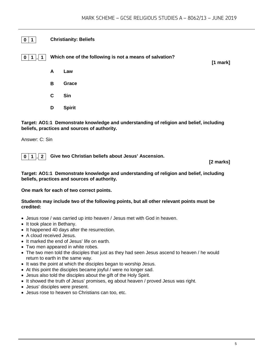#### **0 1 Christianity: Beliefs**

**0 1 . 1 Which one of the following is not a means of salvation?**

**[1 mark]**

**A Law**

- **B Grace**
- **C Sin**
- **D Spirit**

**Target: AO1:1 Demonstrate knowledge and understanding of religion and belief, including beliefs, practices and sources of authority.**

Answer: C: Sin

**0 1 . 2 Give two Christian beliefs about Jesus' Ascension.**

**[2 marks]**

**Target: AO1:1 Demonstrate knowledge and understanding of religion and belief, including beliefs, practices and sources of authority.**

**One mark for each of two correct points.** 

#### **Students may include two of the following points, but all other relevant points must be credited:**

- Jesus rose / was carried up into heaven / Jesus met with God in heaven.
- It took place in Bethany.
- It happened 40 days after the resurrection.
- A cloud received Jesus.
- It marked the end of Jesus' life on earth.
- Two men appeared in white robes.
- The two men told the disciples that just as they had seen Jesus ascend to heaven / he would return to earth in the same way.
- It was the point at which the disciples began to worship Jesus.
- At this point the disciples became joyful / were no longer sad.
- Jesus also told the disciples about the gift of the Holy Spirit.
- It showed the truth of Jesus' promises, eg about heaven / proved Jesus was right.
- Jesus' disciples were present.
- Jesus rose to heaven so Christians can too, etc.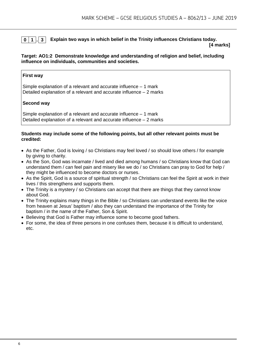#### **0 1 . 3 Explain two ways in which belief in the Trinity influences Christians today.**

**[4 marks]**

#### **Target: AO1:2 Demonstrate knowledge and understanding of religion and belief, including influence on individuals, communities and societies.**

#### **First way**

Simple explanation of a relevant and accurate influence – 1 mark Detailed explanation of a relevant and accurate influence – 2 marks

#### **Second way**

Simple explanation of a relevant and accurate influence – 1 mark Detailed explanation of a relevant and accurate influence – 2 marks

#### **Students may include some of the following points, but all other relevant points must be credited:**

- As the Father, God is loving / so Christians may feel loved / so should love others / for example by giving to charity.
- As the Son, God was incarnate / lived and died among humans / so Christians know that God can understand them / can feel pain and misery like we do / so Christians can pray to God for help / they might be influenced to become doctors or nurses.
- As the Spirit, God is a source of spiritual strength / so Christians can feel the Spirit at work in their lives / this strengthens and supports them.
- The Trinity is a mystery / so Christians can accept that there are things that they cannot know about God.
- The Trinity explains many things in the Bible / so Christians can understand events like the voice from heaven at Jesus' baptism / also they can understand the importance of the Trinity for baptism / in the name of the Father, Son & Spirit.
- Believing that God is Father may influence some to become good fathers.
- For some, the idea of three persons in one confuses them, because it is difficult to understand, etc.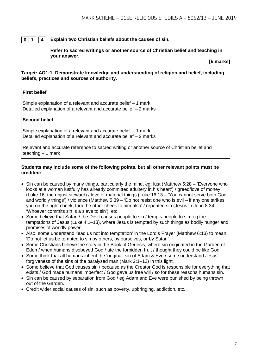#### **0 1 . 4 Explain two Christian beliefs about the causes of sin.**

**Refer to sacred writings or another source of Christian belief and teaching in your answer.**

**[5 marks]**

**Target: AO1:1 Demonstrate knowledge and understanding of religion and belief, including beliefs, practices and sources of authority.**

#### **First belief**

Simple explanation of a relevant and accurate belief – 1 mark Detailed explanation of a relevant and accurate belief – 2 marks

#### **Second belief**

Simple explanation of a relevant and accurate belief – 1 mark Detailed explanation of a relevant and accurate belief – 2 marks

Relevant and accurate reference to sacred writing or another source of Christian belief and teaching – 1 mark

#### **Students may include some of the following points, but all other relevant points must be credited:**

- Sin can be caused by many things, particularly the mind, eg: lust (Matthew 5:28 'Everyone who looks at a woman lustfully has already committed adultery in his heart') / greed/love of money (Luke 16, the unjust steward) / love of material things (Luke 16:13 – 'You cannot serve both God and worldly things') / violence (Matthew 5:39 – 'Do not resist one who is evil – if any one strikes you on the right cheek, turn the other cheek to him also' / repeated sin (Jesus in John 8:34: 'Whoever commits sin is a slave to sin'), etc.
- Some believe that Satan / the Devil causes people to sin / tempts people to sin, eg the temptations of Jesus (Luke 4:1–13), where Jesus is tempted by such things as bodily hunger and promises of worldly power.
- Also, some understand 'lead us not into temptation' in the Lord's Prayer (Matthew 6:13) to mean, 'Do not let us be tempted to sin by others, by ourselves, or by Satan'.
- Some Christians believe the story in the Book of Genesis, where sin originated in the Garden of Eden / when humans disobeyed God / ate the forbidden fruit / thought they could be like God.
- Some think that all humans inherit the 'original' sin of Adam & Eve / some understand Jesus' forgiveness of the sins of the paralysed man (Mark 2:1–12) in this light.
- Some believe that God causes sin / because as the Creator God is responsible for everything that exists / God made humans imperfect / God gave us free will / so for these reasons humans sin.
- Sin can be caused by separation from God / eg Adam and Eve were punished by being thrown out of the Garden.
- Credit wider social causes of sin, such as poverty, upbringing, addiction, etc.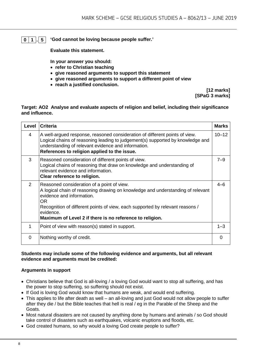**0 1 . 5 'God cannot be loving because people suffer.'**

**Evaluate this statement.** 

**In your answer you should:**

- **refer to Christian teaching**
- **give reasoned arguments to support this statement**
- **give reasoned arguments to support a different point of view**
- **reach a justified conclusion.**

**[12 marks] [SPaG 3 marks]**

#### **Target: AO2 Analyse and evaluate aspects of religion and belief, including their significance and influence.**

| Level         | <b>Criteria</b>                                                                                                                                                                                                                                                                                                            | <b>Marks</b> |
|---------------|----------------------------------------------------------------------------------------------------------------------------------------------------------------------------------------------------------------------------------------------------------------------------------------------------------------------------|--------------|
| 4             | A well-argued response, reasoned consideration of different points of view.<br>Logical chains of reasoning leading to judgement(s) supported by knowledge and<br>understanding of relevant evidence and information.<br>References to religion applied to the issue.                                                       | $10 - 12$    |
| 3             | Reasoned consideration of different points of view.<br>Logical chains of reasoning that draw on knowledge and understanding of<br>relevant evidence and information.<br>Clear reference to religion.                                                                                                                       | $7 - 9$      |
| $\mathcal{P}$ | Reasoned consideration of a point of view.<br>A logical chain of reasoning drawing on knowledge and understanding of relevant<br>evidence and information.<br>0R<br>Recognition of different points of view, each supported by relevant reasons /<br>evidence.<br>Maximum of Level 2 if there is no reference to religion. | $4 - 6$      |
| 1             | Point of view with reason(s) stated in support.                                                                                                                                                                                                                                                                            | $1 - 3$      |
| $\Omega$      | Nothing worthy of credit.                                                                                                                                                                                                                                                                                                  | ∩            |

#### **Students may include some of the following evidence and arguments, but all relevant evidence and arguments must be credited:**

#### **Arguments in support**

- Christians believe that God is all-loving / a loving God would want to stop all suffering, and has the power to stop suffering, so suffering should not exist.
- If God is loving God would know that humans are weak, and would end suffering.
- This applies to life after death as well an all-loving and just God would not allow people to suffer after they die / but the Bible teaches that hell is real / eg in the Parable of the Sheep and the Goats.
- Most natural disasters are not caused by anything done by humans and animals / so God should take control of disasters such as earthquakes, volcanic eruptions and floods, etc.
- God created humans, so why would a loving God create people to suffer?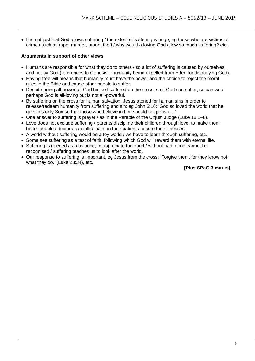• It is not just that God allows suffering / the extent of suffering is huge, eg those who are victims of crimes such as rape, murder, arson, theft / why would a loving God allow so much suffering? etc.

#### **Arguments in support of other views**

- Humans are responsible for what they do to others / so a lot of suffering is caused by ourselves, and not by God (references to Genesis – humanity being expelled from Eden for disobeying God).
- Having free will means that humanity must have the power and the choice to reject the moral rules in the Bible and cause other people to suffer.
- Despite being all-powerful, God himself suffered on the cross, so if God can suffer, so can we / perhaps God is all-loving but is not all-powerful.
- By suffering on the cross for human salvation, Jesus atoned for human sins in order to release/redeem humanity from suffering and sin: eg John 3:16: 'God so loved the world that he gave his only Son so that those who believe in him should not perish …'
- One answer to suffering is prayer / as in the Parable of the Unjust Judge (Luke 18:1–8).
- Love does not exclude suffering / parents discipline their children through love, to make them better people / doctors can inflict pain on their patients to cure their illnesses.
- A world without suffering would be a toy world / we have to learn through suffering, etc.
- Some see suffering as a test of faith, following which God will reward them with eternal life.
- Suffering is needed as a balance, to appreciate the good / without bad, good cannot be recognised / suffering teaches us to look after the world.
- Our response to suffering is important, eg Jesus from the cross: 'Forgive them, for they know not what they do.' (Luke 23:34), etc.

#### **[Plus SPaG 3 marks]**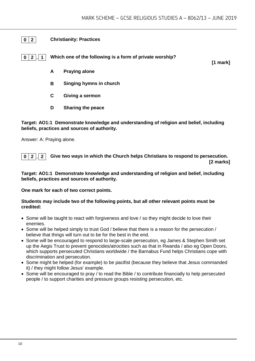#### **0 2 Christianity: Practices**

**0 2 . 1 Which one of the following is a form of private worship?**

**[1 mark]**

- **A Praying alone**
- **B Singing hymns in church**
- **C Giving a sermon**
- **D Sharing the peace**

**Target: AO1:1 Demonstrate knowledge and understanding of religion and belief, including beliefs, practices and sources of authority.**

Answer: A: Praying alone.

**0 2 . 2 Give two ways in which the Church helps Christians to respond to persecution. [2 marks]**

#### **Target: AO1:1 Demonstrate knowledge and understanding of religion and belief, including beliefs, practices and sources of authority.**

**One mark for each of two correct points.** 

#### **Students may include two of the following points, but all other relevant points must be credited:**

- Some will be taught to react with forgiveness and love / so they might decide to love their enemies.
- Some will be helped simply to trust God / believe that there is a reason for the persecution / believe that things will turn out to be for the best in the end.
- Some will be encouraged to respond to large-scale persecution, eg James & Stephen Smith set up the Aegis Trust to prevent genocides/atrocities such as that in Rwanda / also eg Open Doors, which supports persecuted Christians worldwide / the Barnabus Fund helps Christians cope with discrimination and persecution.
- Some might be helped (for example) to be pacifist (because they believe that Jesus commanded it) / they might follow Jesus' example.
- Some will be encouraged to pray / to read the Bible / to contribute financially to help persecuted people / to support charities and pressure groups resisting persecution, etc.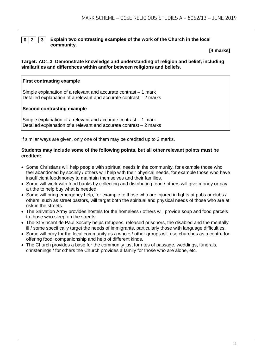#### **0 2 . 3 Explain two contrasting examples of the work of the Church in the local community.**

**[4 marks]**

#### **Target: AO1:3 Demonstrate knowledge and understanding of religion and belief, including similarities and differences within and/or between religions and beliefs.**

#### **First contrasting example**

Simple explanation of a relevant and accurate contrast – 1 mark Detailed explanation of a relevant and accurate contrast – 2 marks

#### **Second contrasting example**

Simple explanation of a relevant and accurate contrast – 1 mark Detailed explanation of a relevant and accurate contrast – 2 marks

If similar ways are given, only one of them may be credited up to 2 marks.

#### **Students may include some of the following points, but all other relevant points must be credited:**

- Some Christians will help people with spiritual needs in the community, for example those who feel abandoned by society / others will help with their physical needs, for example those who have insufficient food/money to maintain themselves and their families.
- Some will work with food banks by collecting and distributing food / others will give money or pay a tithe to help buy what is needed.
- Some will bring emergency help, for example to those who are injured in fights at pubs or clubs / others, such as street pastors, will target both the spiritual and physical needs of those who are at risk in the streets.
- The Salvation Army provides hostels for the homeless / others will provide soup and food parcels to those who sleep on the streets.
- The St Vincent de Paul Society helps refugees, released prisoners, the disabled and the mentally ill / some specifically target the needs of immigrants, particularly those with language difficulties.
- Some will pray for the local community as a whole / other groups will use churches as a centre for offering food, companionship and help of different kinds.
- The Church provides a base for the community just for rites of passage, weddings, funerals, christenings / for others the Church provides a family for those who are alone, etc.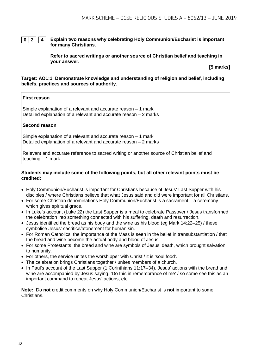**0 2 . 4 Explain two reasons why celebrating Holy Communion/Eucharist is important for many Christians.**

> **Refer to sacred writings or another source of Christian belief and teaching in your answer.**

**[5 marks]**

#### **Target: AO1:1 Demonstrate knowledge and understanding of religion and belief, including beliefs, practices and sources of authority.**

#### **First reason**

Simple explanation of a relevant and accurate reason – 1 mark Detailed explanation of a relevant and accurate reason – 2 marks

#### **Second reason**

Simple explanation of a relevant and accurate reason – 1 mark Detailed explanation of a relevant and accurate reason – 2 marks

Relevant and accurate reference to sacred writing or another source of Christian belief and teaching – 1 mark

#### **Students may include some of the following points, but all other relevant points must be credited:**

- Holy Communion/Eucharist is important for Christians because of Jesus' Last Supper with his disciples / where Christians believe that what Jesus said and did were important for all Christians.
- For some Christian denominations Holy Communion/Eucharist is a sacrament a ceremony which gives spiritual grace.
- In Luke's account (Luke 22) the Last Supper is a meal to celebrate Passover / Jesus transformed the celebration into something connected with his suffering, death and resurrection.
- Jesus identified the bread as his body and the wine as his blood (eg Mark 14:22–25) / these symbolise Jesus' sacrifice/atonement for human sin.
- For Roman Catholics, the importance of the Mass is seen in the belief in transubstantiation / that the bread and wine become the actual body and blood of Jesus.
- For some Protestants, the bread and wine are symbols of Jesus' death, which brought salvation to humanity.
- For others, the service unites the worshipper with Christ / it is 'soul food'.
- The celebration brings Christians together / unites members of a church.
- In Paul's account of the Last Supper (1 Corinthians 11:17–34), Jesus' actions with the bread and wine are accompanied by Jesus saying, 'Do this in remembrance of me' / so some see this as an important command to repeat Jesus' actions, etc.

**Note:** Do **not** credit comments on why Holy Communion/Eucharist is **not** important to some Christians.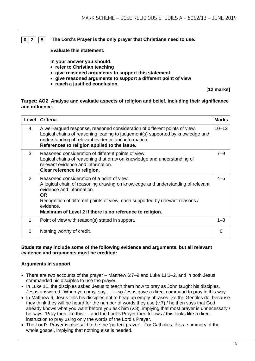#### **0 2 . 5 'The Lord's Prayer is the only prayer that Christians need to use.'**

**Evaluate this statement.** 

**In your answer you should:**

- **refer to Christian teaching**
- **give reasoned arguments to support this statement**
- **give reasoned arguments to support a different point of view**
- **reach a justified conclusion.**

**[12 marks]**

#### **Target: AO2 Analyse and evaluate aspects of religion and belief, including their significance and influence.**

| Level          | <b>Criteria</b>                                                                                                                                                                                                                                                                                                             | <b>Marks</b> |
|----------------|-----------------------------------------------------------------------------------------------------------------------------------------------------------------------------------------------------------------------------------------------------------------------------------------------------------------------------|--------------|
| 4              | A well-argued response, reasoned consideration of different points of view.<br>Logical chains of reasoning leading to judgement(s) supported by knowledge and<br>understanding of relevant evidence and information.<br>References to religion applied to the issue.                                                        | $10 - 12$    |
| 3              | Reasoned consideration of different points of view.<br>Logical chains of reasoning that draw on knowledge and understanding of<br>relevant evidence and information.<br>Clear reference to religion.                                                                                                                        | $7 - 9$      |
| $\overline{2}$ | Reasoned consideration of a point of view.<br>A logical chain of reasoning drawing on knowledge and understanding of relevant<br>evidence and information.<br>OR.<br>Recognition of different points of view, each supported by relevant reasons /<br>evidence.<br>Maximum of Level 2 if there is no reference to religion. | $4 - 6$      |
| 1              | Point of view with reason(s) stated in support.                                                                                                                                                                                                                                                                             | $1 - 3$      |
| 0              | Nothing worthy of credit.                                                                                                                                                                                                                                                                                                   | $\Omega$     |

#### **Students may include some of the following evidence and arguments, but all relevant evidence and arguments must be credited:**

#### **Arguments in support**

- There are two accounts of the prayer Matthew 6:7–9 and Luke 11:1–2, and in both Jesus commanded his disciples to use the prayer.
- In Luke 11, the disciples asked Jesus to teach them how to pray as John taught his disciples. Jesus answered: 'When you pray, say …' – so Jesus gave a direct command to pray in this way.
- In Matthew 6, Jesus tells his disciples not to heap up empty phrases like the Gentiles do, because they think they will be heard for the number of words they use (v.7) / he then says that God already knows what you want before you ask him (v.8), implying that most prayer is unnecessary / he says: 'Pray then like this:' – and the Lord's Prayer then follows / this looks like a direct instruction to pray using only the words of the Lord's Prayer.
- The Lord's Prayer is also said to be the 'perfect prayer'. For Catholics, it is a summary of the whole gospel, implying that nothing else is needed.